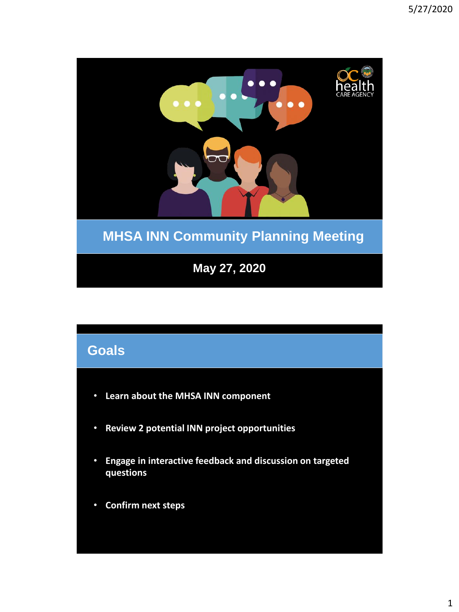

# **Goals**

- **Learn about the MHSA INN component**
- **Review 2 potential INN project opportunities**
- **Engage in interactive feedback and discussion on targeted questions**
- **Confirm next steps**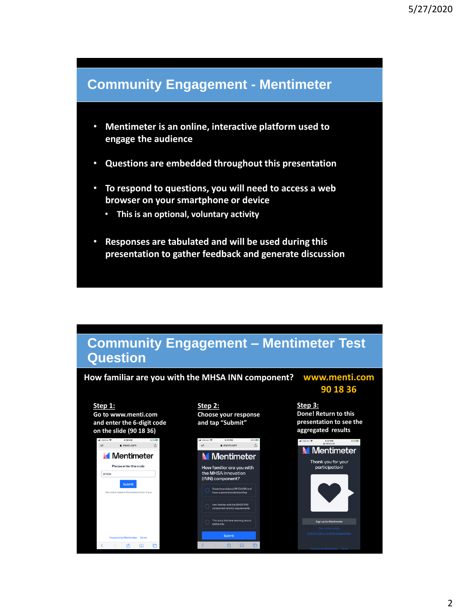### **Community Engagement - Mentimeter**

- **Mentimeter is an online, interactive platform used to engage the audience**
- **Questions are embedded throughout this presentation**
- **To respond to questions, you will need to access a web browser on your smartphone or device** 
	- **This is an optional, voluntary activity**
- **Responses are tabulated and will be used during this presentation to gather feedback and generate discussion**

### **Community Engagement – Mentimeter Test Question**

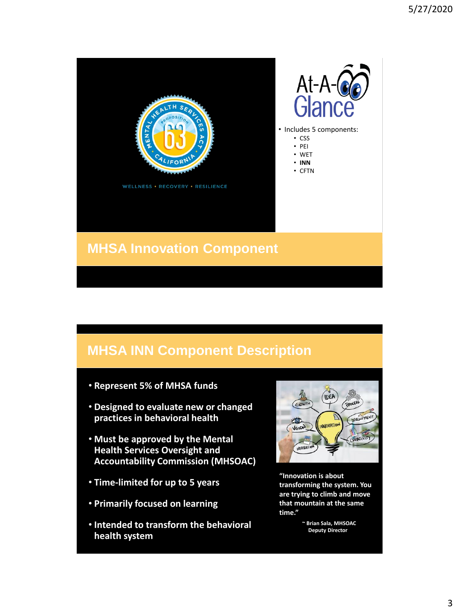

## **MHSA Innovation Component**

# **MHSA INN Component Description**

- **Represent 5% of MHSA funds**
- **Designed to evaluate new or changed practices in behavioral health**
- **Must be approved by the Mental Health Services Oversight and Accountability Commission (MHSOAC)**
- **Time-limited for up to 5 years**
- **Primarily focused on learning**
- **Intended to transform the behavioral health system**



**"Innovation is about transforming the system. You are trying to climb and move that mountain at the same time."**

> **~ Brian Sala, MHSOAC Deputy Director**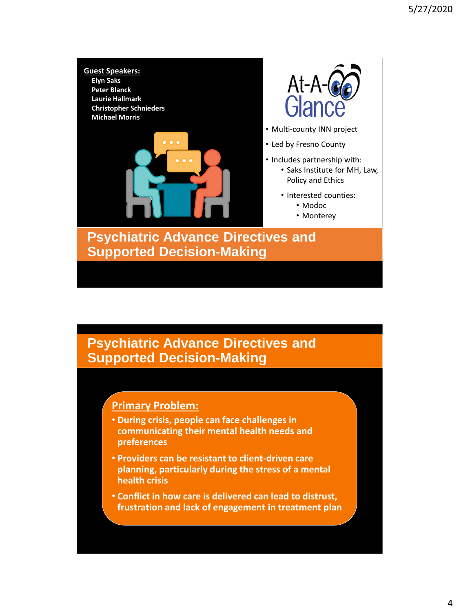

### **Primary Problem:**

- **During crisis, people can face challenges in communicating their mental health needs and preferences**
- **Providers can be resistant to client-driven care planning, particularly during the stress of a mental health crisis**
- **Conflict in how care is delivered can lead to distrust, frustration and lack of engagement in treatment plan**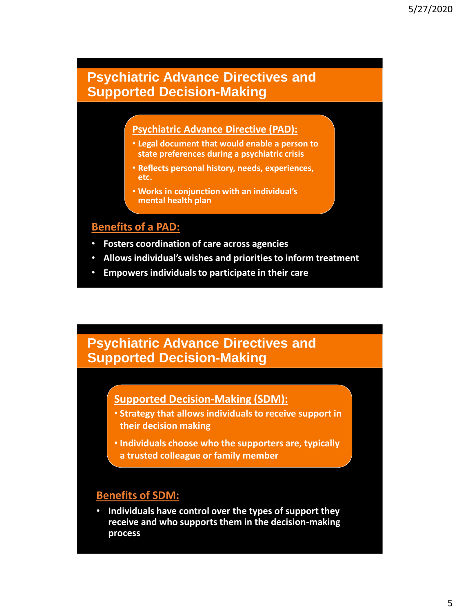#### **Psychiatric Advance Directive (PAD):**

- **Legal document that would enable a person to state preferences during a psychiatric crisis**
- **Reflects personal history, needs, experiences, etc.**
- **Works in conjunction with an individual's mental health plan**

#### **Benefits of a PAD:**

- **Fosters coordination of care across agencies**
- **Allows individual's wishes and priorities to inform treatment**
- **Empowers individuals to participate in their care**

### **Psychiatric Advance Directives and Supported Decision-Making**

#### **Supported Decision-Making (SDM):**

- **Strategy that allows individuals to receive support in their decision making**
- **Individuals choose who the supporters are, typically a trusted colleague or family member**

### **Benefits of SDM:**

• **Individuals have control over the types of support they receive and who supports them in the decision-making process**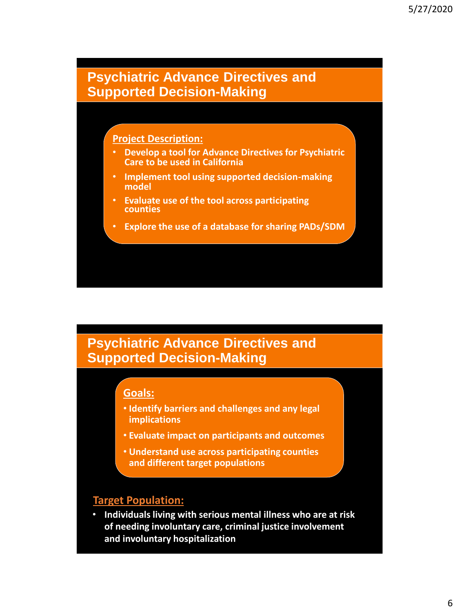#### **Project Description:**

- **Develop a tool for Advance Directives for Psychiatric Care to be used in California**
- **Implement tool using supported decision-making model**
- **Evaluate use of the tool across participating counties**
- **Explore the use of a database for sharing PADs/SDM**

### **Psychiatric Advance Directives and Supported Decision-Making**

#### **Goals:**

- **Identify barriers and challenges and any legal implications**
- **Evaluate impact on participants and outcomes**
- **Understand use across participating counties and different target populations**

#### **Target Population:**

• **Individuals living with serious mental illness who are at risk of needing involuntary care, criminal justice involvement and involuntary hospitalization**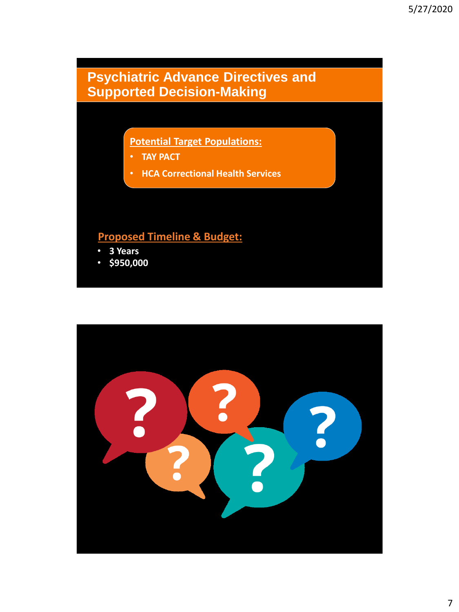**Potential Target Populations:**

- **TAY PACT**
- **HCA Correctional Health Services**

### **Proposed Timeline & Budget:**

- **3 Years**
- **\$950,000**

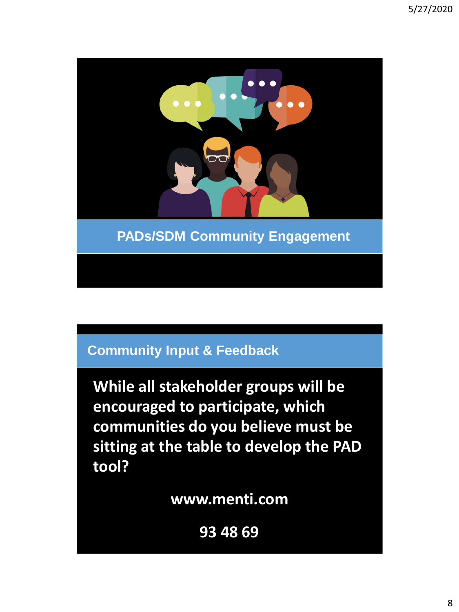

**While all stakeholder groups will be encouraged to participate, which communities do you believe must be sitting at the table to develop the PAD tool?** 

**www.menti.com**

**93 48 69**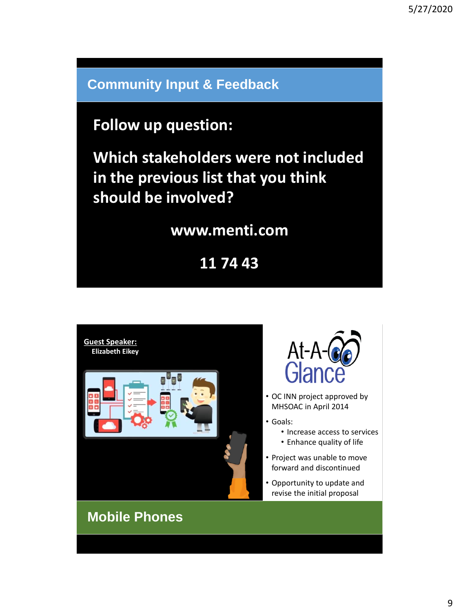# **Follow up question:**

**Which stakeholders were not included in the previous list that you think should be involved?** 

## **www.menti.com**

**11 74 43**





- OC INN project approved by MHSOAC in April 2014
- Goals:
	- Increase access to services
	- Enhance quality of life
- Project was unable to move forward and discontinued
- Opportunity to update and revise the initial proposal

# **Mobile Phones**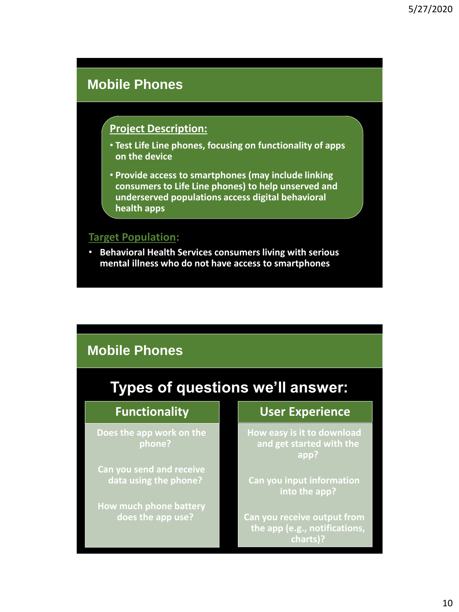### **Mobile Phones**

### **Project Description:**

- **Test Life Line phones, focusing on functionality of apps on the device**
- **Provide access to smartphones (may include linking consumers to Life Line phones) to help unserved and underserved populations access digital behavioral health apps**

#### **Target Population:**

• **Behavioral Health Services consumers living with serious mental illness who do not have access to smartphones** 

# **Mobile Phones**

# **Types of questions we'll answer:**

#### **Functionality**

**Does the app work on the phone?**

**Can you send and receive data using the phone?**

**How much phone battery does the app use?**

### **User Experience**

**How easy is it to download and get started with the app?**

**Can you input information into the app?**

**Can you receive output from the app (e.g., notifications, charts)?**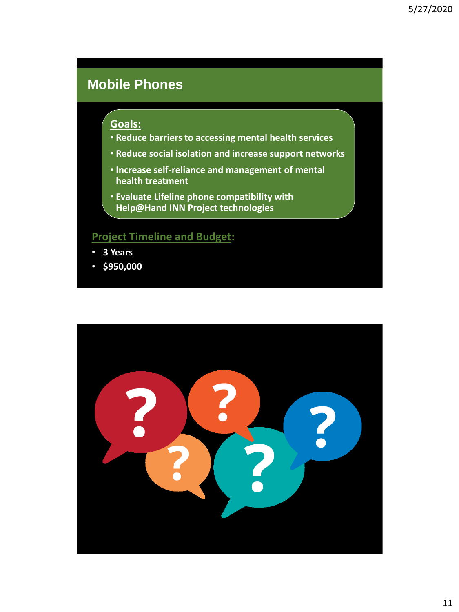# **Mobile Phones**

#### **Goals:**

- **Reduce barriers to accessing mental health services**
- **Reduce social isolation and increase support networks**
- **Increase self-reliance and management of mental health treatment**
- **Evaluate Lifeline phone compatibility with Help@Hand INN Project technologies**

### **Project Timeline and Budget:**

- **3 Years**
- **\$950,000**

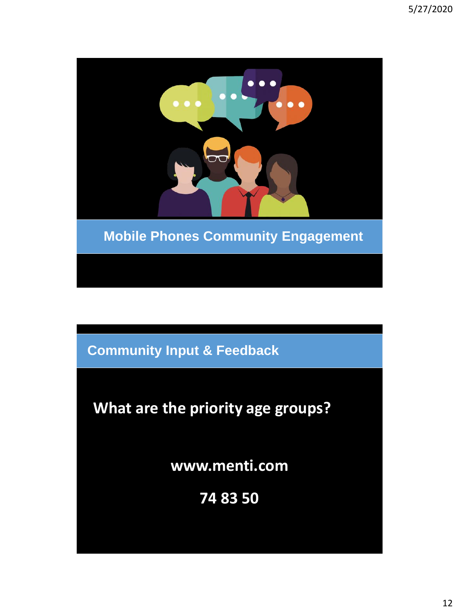

# **What are the priority age groups?**

**www.menti.com**

**74 83 50**